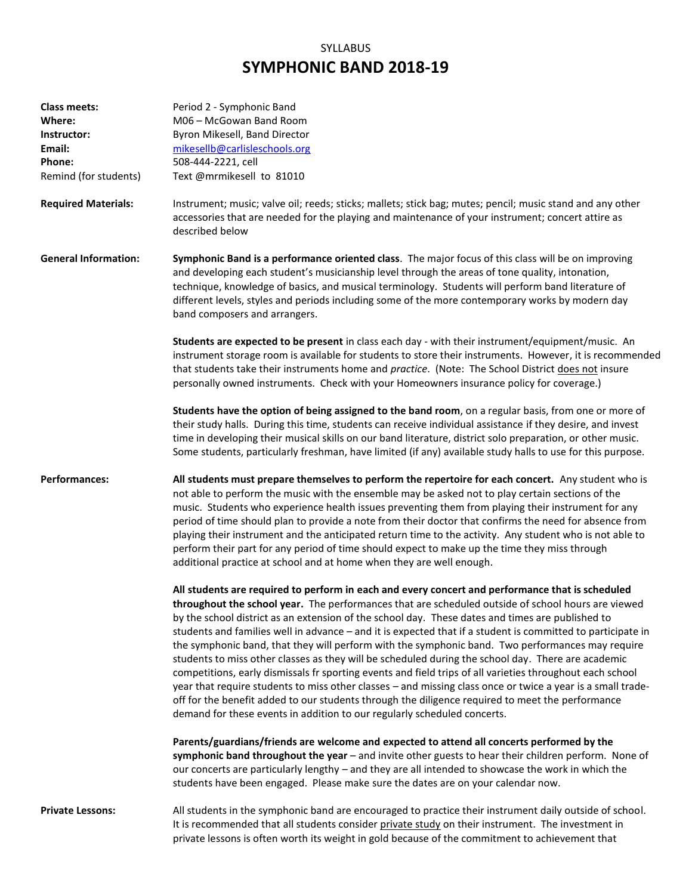## SYLLABUS **SYMPHONIC BAND 2018-19**

| <b>Class meets:</b>         | Period 2 - Symphonic Band                                                                                                                                                                                                                                                                                                                                                                                                                                                                                                                                                                                                                                                                                                                                                                                                                                                                                                                                                                                                                       |
|-----------------------------|-------------------------------------------------------------------------------------------------------------------------------------------------------------------------------------------------------------------------------------------------------------------------------------------------------------------------------------------------------------------------------------------------------------------------------------------------------------------------------------------------------------------------------------------------------------------------------------------------------------------------------------------------------------------------------------------------------------------------------------------------------------------------------------------------------------------------------------------------------------------------------------------------------------------------------------------------------------------------------------------------------------------------------------------------|
| Where:                      | M06 - McGowan Band Room                                                                                                                                                                                                                                                                                                                                                                                                                                                                                                                                                                                                                                                                                                                                                                                                                                                                                                                                                                                                                         |
| Instructor:                 | Byron Mikesell, Band Director                                                                                                                                                                                                                                                                                                                                                                                                                                                                                                                                                                                                                                                                                                                                                                                                                                                                                                                                                                                                                   |
| Email:                      | mikesellb@carlisleschools.org                                                                                                                                                                                                                                                                                                                                                                                                                                                                                                                                                                                                                                                                                                                                                                                                                                                                                                                                                                                                                   |
| Phone:                      | 508-444-2221, cell                                                                                                                                                                                                                                                                                                                                                                                                                                                                                                                                                                                                                                                                                                                                                                                                                                                                                                                                                                                                                              |
| Remind (for students)       | Text @mrmikesell to 81010                                                                                                                                                                                                                                                                                                                                                                                                                                                                                                                                                                                                                                                                                                                                                                                                                                                                                                                                                                                                                       |
| <b>Required Materials:</b>  | Instrument; music; valve oil; reeds; sticks; mallets; stick bag; mutes; pencil; music stand and any other<br>accessories that are needed for the playing and maintenance of your instrument; concert attire as<br>described below                                                                                                                                                                                                                                                                                                                                                                                                                                                                                                                                                                                                                                                                                                                                                                                                               |
| <b>General Information:</b> | Symphonic Band is a performance oriented class. The major focus of this class will be on improving<br>and developing each student's musicianship level through the areas of tone quality, intonation,<br>technique, knowledge of basics, and musical terminology. Students will perform band literature of<br>different levels, styles and periods including some of the more contemporary works by modern day<br>band composers and arrangers.                                                                                                                                                                                                                                                                                                                                                                                                                                                                                                                                                                                                 |
|                             | Students are expected to be present in class each day - with their instrument/equipment/music. An<br>instrument storage room is available for students to store their instruments. However, it is recommended<br>that students take their instruments home and practice. (Note: The School District does not insure<br>personally owned instruments. Check with your Homeowners insurance policy for coverage.)                                                                                                                                                                                                                                                                                                                                                                                                                                                                                                                                                                                                                                 |
|                             | Students have the option of being assigned to the band room, on a regular basis, from one or more of<br>their study halls. During this time, students can receive individual assistance if they desire, and invest<br>time in developing their musical skills on our band literature, district solo preparation, or other music.<br>Some students, particularly freshman, have limited (if any) available study halls to use for this purpose.                                                                                                                                                                                                                                                                                                                                                                                                                                                                                                                                                                                                  |
| <b>Performances:</b>        | All students must prepare themselves to perform the repertoire for each concert. Any student who is<br>not able to perform the music with the ensemble may be asked not to play certain sections of the<br>music. Students who experience health issues preventing them from playing their instrument for any<br>period of time should plan to provide a note from their doctor that confirms the need for absence from<br>playing their instrument and the anticipated return time to the activity. Any student who is not able to<br>perform their part for any period of time should expect to make up the time they miss through<br>additional practice at school and at home when they are well enough.                                                                                                                                                                                                                                                                                                                                    |
|                             | All students are required to perform in each and every concert and performance that is scheduled<br>throughout the school year. The performances that are scheduled outside of school hours are viewed<br>by the school district as an extension of the school day. These dates and times are published to<br>students and families well in advance - and it is expected that if a student is committed to participate in<br>the symphonic band, that they will perform with the symphonic band. Two performances may require<br>students to miss other classes as they will be scheduled during the school day. There are academic<br>competitions, early dismissals fr sporting events and field trips of all varieties throughout each school<br>year that require students to miss other classes - and missing class once or twice a year is a small trade-<br>off for the benefit added to our students through the diligence required to meet the performance<br>demand for these events in addition to our regularly scheduled concerts. |
|                             | Parents/guardians/friends are welcome and expected to attend all concerts performed by the<br>symphonic band throughout the year - and invite other guests to hear their children perform. None of<br>our concerts are particularly lengthy - and they are all intended to showcase the work in which the<br>students have been engaged. Please make sure the dates are on your calendar now.                                                                                                                                                                                                                                                                                                                                                                                                                                                                                                                                                                                                                                                   |
| <b>Private Lessons:</b>     | All students in the symphonic band are encouraged to practice their instrument daily outside of school.<br>It is recommended that all students consider private study on their instrument. The investment in<br>private lessons is often worth its weight in gold because of the commitment to achievement that                                                                                                                                                                                                                                                                                                                                                                                                                                                                                                                                                                                                                                                                                                                                 |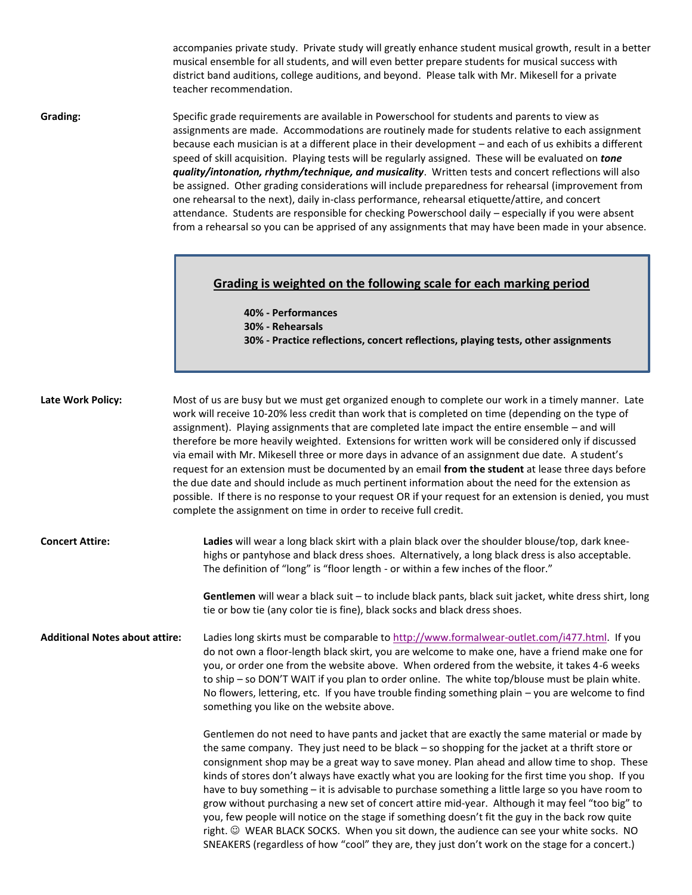|                                       | accompanies private study. Private study will greatly enhance student musical growth, result in a better<br>musical ensemble for all students, and will even better prepare students for musical success with<br>district band auditions, college auditions, and beyond. Please talk with Mr. Mikesell for a private<br>teacher recommendation.                                                                                                                                                                                                                                                                                                                                                                                                                                                                                                                                                                                                        |
|---------------------------------------|--------------------------------------------------------------------------------------------------------------------------------------------------------------------------------------------------------------------------------------------------------------------------------------------------------------------------------------------------------------------------------------------------------------------------------------------------------------------------------------------------------------------------------------------------------------------------------------------------------------------------------------------------------------------------------------------------------------------------------------------------------------------------------------------------------------------------------------------------------------------------------------------------------------------------------------------------------|
| Grading:                              | Specific grade requirements are available in Powerschool for students and parents to view as<br>assignments are made. Accommodations are routinely made for students relative to each assignment<br>because each musician is at a different place in their development - and each of us exhibits a different<br>speed of skill acquisition. Playing tests will be regularly assigned. These will be evaluated on tone<br>quality/intonation, rhythm/technique, and musicality. Written tests and concert reflections will also<br>be assigned. Other grading considerations will include preparedness for rehearsal (improvement from<br>one rehearsal to the next), daily in-class performance, rehearsal etiquette/attire, and concert<br>attendance. Students are responsible for checking Powerschool daily - especially if you were absent<br>from a rehearsal so you can be apprised of any assignments that may have been made in your absence. |
|                                       | Grading is weighted on the following scale for each marking period<br>40% - Performances<br>30% - Rehearsals<br>30% - Practice reflections, concert reflections, playing tests, other assignments                                                                                                                                                                                                                                                                                                                                                                                                                                                                                                                                                                                                                                                                                                                                                      |
| Late Work Policy:                     | Most of us are busy but we must get organized enough to complete our work in a timely manner. Late<br>work will receive 10-20% less credit than work that is completed on time (depending on the type of<br>assignment). Playing assignments that are completed late impact the entire ensemble - and will<br>therefore be more heavily weighted. Extensions for written work will be considered only if discussed<br>via email with Mr. Mikesell three or more days in advance of an assignment due date. A student's<br>request for an extension must be documented by an email from the student at lease three days before<br>the due date and should include as much pertinent information about the need for the extension as<br>possible. If there is no response to your request OR if your request for an extension is denied, you must<br>complete the assignment on time in order to receive full credit.                                    |
| <b>Concert Attire:</b>                | Ladies will wear a long black skirt with a plain black over the shoulder blouse/top, dark knee-<br>highs or pantyhose and black dress shoes. Alternatively, a long black dress is also acceptable.<br>The definition of "long" is "floor length - or within a few inches of the floor."                                                                                                                                                                                                                                                                                                                                                                                                                                                                                                                                                                                                                                                                |
|                                       | Gentlemen will wear a black suit - to include black pants, black suit jacket, white dress shirt, long<br>tie or bow tie (any color tie is fine), black socks and black dress shoes.                                                                                                                                                                                                                                                                                                                                                                                                                                                                                                                                                                                                                                                                                                                                                                    |
| <b>Additional Notes about attire:</b> | Ladies long skirts must be comparable to http://www.formalwear-outlet.com/i477.html. If you<br>do not own a floor-length black skirt, you are welcome to make one, have a friend make one for<br>you, or order one from the website above. When ordered from the website, it takes 4-6 weeks<br>to ship - so DON'T WAIT if you plan to order online. The white top/blouse must be plain white.<br>No flowers, lettering, etc. If you have trouble finding something plain - you are welcome to find<br>something you like on the website above.                                                                                                                                                                                                                                                                                                                                                                                                        |
|                                       | Gentlemen do not need to have pants and jacket that are exactly the same material or made by<br>the same company. They just need to be black - so shopping for the jacket at a thrift store or<br>consignment shop may be a great way to save money. Plan ahead and allow time to shop. These<br>kinds of stores don't always have exactly what you are looking for the first time you shop. If you<br>have to buy something - it is advisable to purchase something a little large so you have room to<br>grow without purchasing a new set of concert attire mid-year. Although it may feel "too big" to<br>you, few people will notice on the stage if something doesn't fit the guy in the back row quite<br>right. @ WEAR BLACK SOCKS. When you sit down, the audience can see your white socks. NO<br>SNEAKERS (regardless of how "cool" they are, they just don't work on the stage for a concert.)                                             |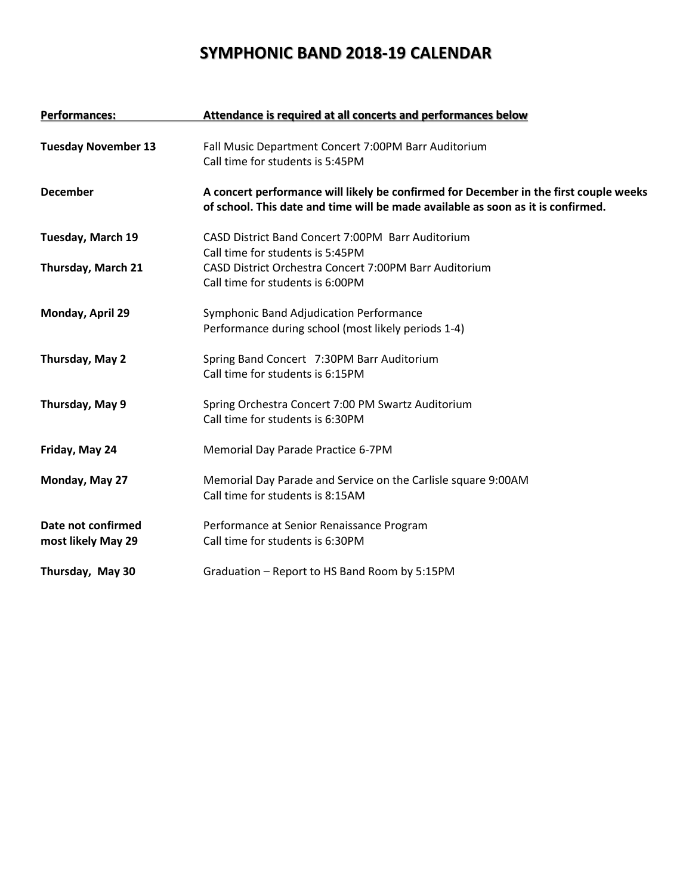## **SYMPHONIC BAND 2018-19 CALENDAR**

| <b>Performances:</b>                     | Attendance is required at all concerts and performances below                                                                                                             |
|------------------------------------------|---------------------------------------------------------------------------------------------------------------------------------------------------------------------------|
| <b>Tuesday November 13</b>               | Fall Music Department Concert 7:00PM Barr Auditorium<br>Call time for students is 5:45PM                                                                                  |
| <b>December</b>                          | A concert performance will likely be confirmed for December in the first couple weeks<br>of school. This date and time will be made available as soon as it is confirmed. |
| Tuesday, March 19                        | CASD District Band Concert 7:00PM Barr Auditorium<br>Call time for students is 5:45PM                                                                                     |
| Thursday, March 21                       | CASD District Orchestra Concert 7:00PM Barr Auditorium<br>Call time for students is 6:00PM                                                                                |
| Monday, April 29                         | Symphonic Band Adjudication Performance<br>Performance during school (most likely periods 1-4)                                                                            |
| Thursday, May 2                          | Spring Band Concert 7:30PM Barr Auditorium<br>Call time for students is 6:15PM                                                                                            |
| Thursday, May 9                          | Spring Orchestra Concert 7:00 PM Swartz Auditorium<br>Call time for students is 6:30PM                                                                                    |
| Friday, May 24                           | Memorial Day Parade Practice 6-7PM                                                                                                                                        |
| Monday, May 27                           | Memorial Day Parade and Service on the Carlisle square 9:00AM<br>Call time for students is 8:15AM                                                                         |
| Date not confirmed<br>most likely May 29 | Performance at Senior Renaissance Program<br>Call time for students is 6:30PM                                                                                             |
| Thursday, May 30                         | Graduation - Report to HS Band Room by 5:15PM                                                                                                                             |